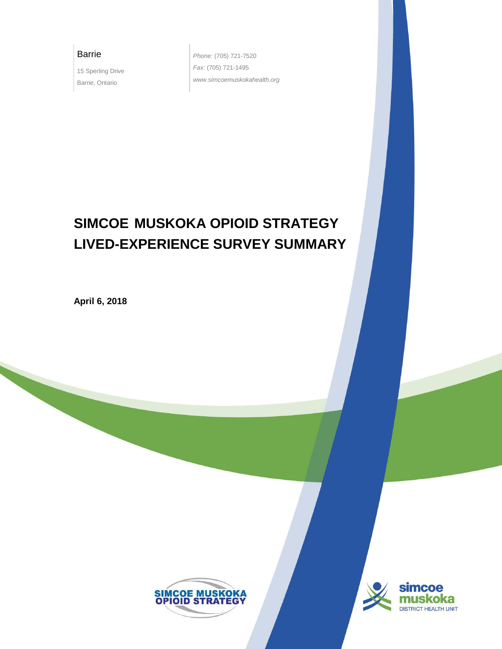## Barrie

15 Sperling Drive Barrie, Ontario

*Phone:* (705) 721-7520 *Fax:* (705) 721-1495 *www.simcoemuskokahealth.org*

# **SIMCOE\_MUSKOKA OPIOID STRATEGY LIVED-EXPERIENCE SURVEY SUMMARY**

**April 6, 2018**



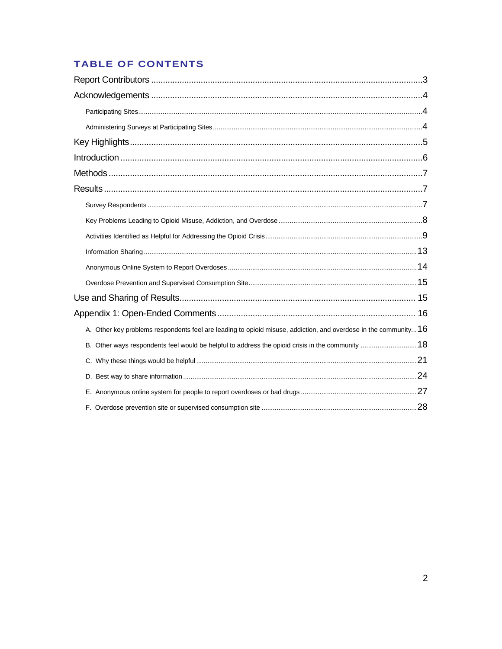# TABLE OF CONTENTS

| A. Other key problems respondents feel are leading to opioid misuse, addiction, and overdose in the community $16$ |  |
|--------------------------------------------------------------------------------------------------------------------|--|
| B. Other ways respondents feel would be helpful to address the opioid crisis in the community  18                  |  |
|                                                                                                                    |  |
|                                                                                                                    |  |
|                                                                                                                    |  |
|                                                                                                                    |  |
|                                                                                                                    |  |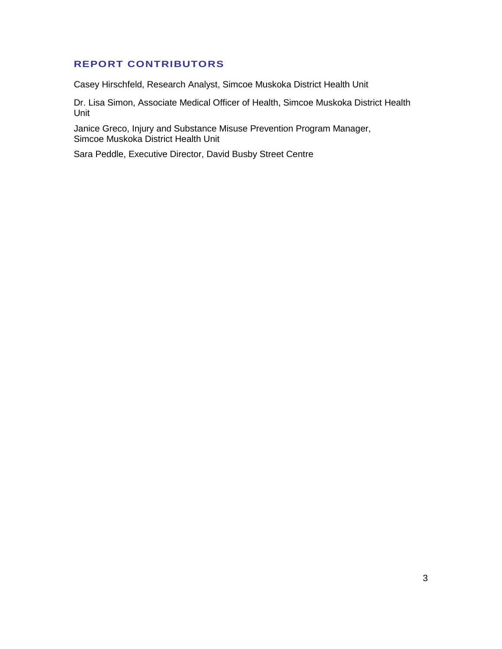# <span id="page-2-0"></span>**REPORT CONTRIBUTORS**

Casey Hirschfeld, Research Analyst, Simcoe Muskoka District Health Unit

Dr. Lisa Simon, Associate Medical Officer of Health, Simcoe Muskoka District Health Unit

Janice Greco, Injury and Substance Misuse Prevention Program Manager, Simcoe Muskoka District Health Unit

Sara Peddle, Executive Director, David Busby Street Centre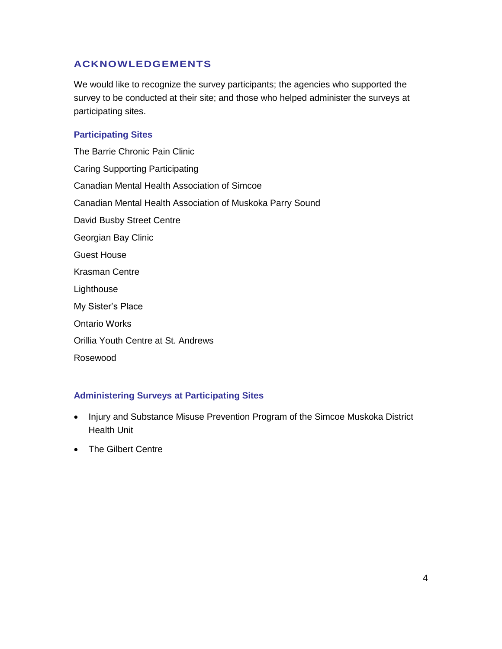# <span id="page-3-0"></span>**ACKNOWLEDGEMENTS**

We would like to recognize the survey participants; the agencies who supported the survey to be conducted at their site; and those who helped administer the surveys at participating sites.

## <span id="page-3-1"></span>**Participating Sites**

The Barrie Chronic Pain Clinic Caring Supporting Participating Canadian Mental Health Association of Simcoe Canadian Mental Health Association of Muskoka Parry Sound David Busby Street Centre Georgian Bay Clinic Guest House Krasman Centre Lighthouse My Sister's Place Ontario Works Orillia Youth Centre at St. Andrews Rosewood

## <span id="page-3-2"></span>**Administering Surveys at Participating Sites**

- Injury and Substance Misuse Prevention Program of the Simcoe Muskoka District Health Unit
- The Gilbert Centre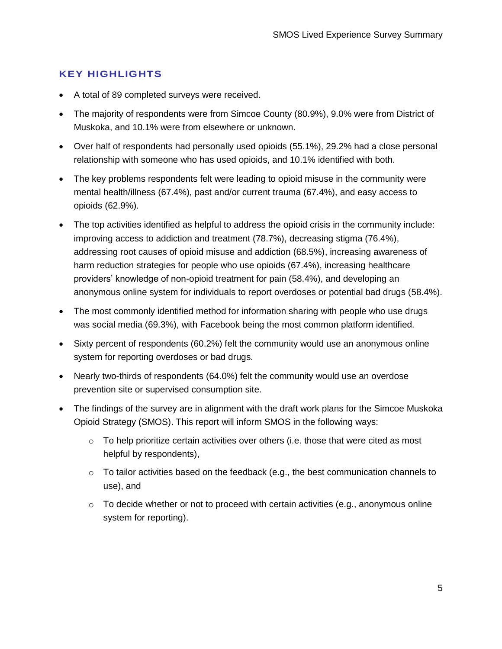# <span id="page-4-0"></span>**KEY HIGHLIGHTS**

- A total of 89 completed surveys were received.
- The majority of respondents were from Simcoe County (80.9%), 9.0% were from District of Muskoka, and 10.1% were from elsewhere or unknown.
- Over half of respondents had personally used opioids (55.1%), 29.2% had a close personal relationship with someone who has used opioids, and 10.1% identified with both.
- The key problems respondents felt were leading to opioid misuse in the community were mental health/illness (67.4%), past and/or current trauma (67.4%), and easy access to opioids (62.9%).
- The top activities identified as helpful to address the opioid crisis in the community include: improving access to addiction and treatment (78.7%), decreasing stigma (76.4%), addressing root causes of opioid misuse and addiction (68.5%), increasing awareness of harm reduction strategies for people who use opioids (67.4%), increasing healthcare providers' knowledge of non-opioid treatment for pain (58.4%), and developing an anonymous online system for individuals to report overdoses or potential bad drugs (58.4%).
- The most commonly identified method for information sharing with people who use drugs was social media (69.3%), with Facebook being the most common platform identified.
- Sixty percent of respondents (60.2%) felt the community would use an anonymous online system for reporting overdoses or bad drugs.
- Nearly two-thirds of respondents (64.0%) felt the community would use an overdose prevention site or supervised consumption site.
- The findings of the survey are in alignment with the draft work plans for the Simcoe Muskoka Opioid Strategy (SMOS). This report will inform SMOS in the following ways:
	- $\circ$  To help prioritize certain activities over others (i.e. those that were cited as most helpful by respondents),
	- $\circ$  To tailor activities based on the feedback (e.g., the best communication channels to use), and
	- $\circ$  To decide whether or not to proceed with certain activities (e.g., anonymous online system for reporting).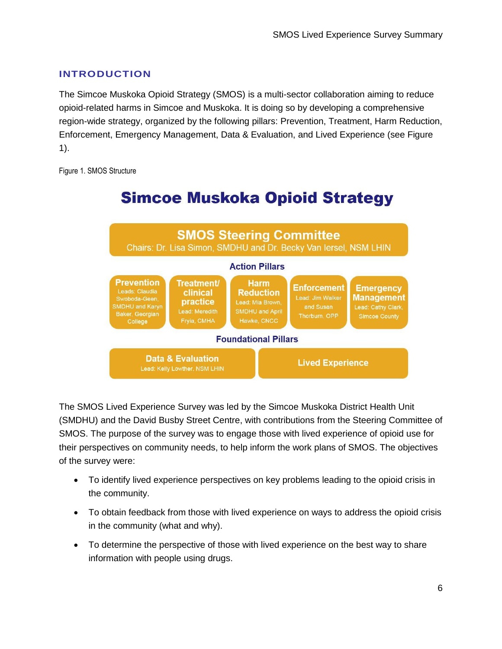# <span id="page-5-0"></span>**INTRODUCTION**

The Simcoe Muskoka Opioid Strategy (SMOS) is a multi-sector collaboration aiming to reduce opioid-related harms in Simcoe and Muskoka. It is doing so by developing a comprehensive region-wide strategy, organized by the following pillars: Prevention, Treatment, Harm Reduction, Enforcement, Emergency Management, Data & Evaluation, and Lived Experience (see [Figure](#page-5-1)  [1\)](#page-5-1).

<span id="page-5-1"></span>Figure 1. SMOS Structure



# **Simcoe Muskoka Opioid Strategy**

The SMOS Lived Experience Survey was led by the Simcoe Muskoka District Health Unit (SMDHU) and the David Busby Street Centre, with contributions from the Steering Committee of SMOS. The purpose of the survey was to engage those with lived experience of opioid use for their perspectives on community needs, to help inform the work plans of SMOS. The objectives of the survey were:

- To identify lived experience perspectives on key problems leading to the opioid crisis in the community.
- To obtain feedback from those with lived experience on ways to address the opioid crisis in the community (what and why).
- To determine the perspective of those with lived experience on the best way to share information with people using drugs.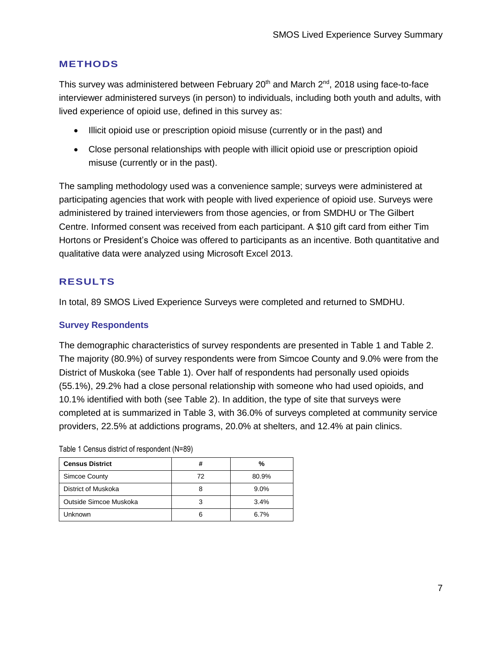# <span id="page-6-0"></span>**METHODS**

This survey was administered between February  $20<sup>th</sup>$  and March  $2<sup>nd</sup>$ , 2018 using face-to-face interviewer administered surveys (in person) to individuals, including both youth and adults, with lived experience of opioid use, defined in this survey as:

- Illicit opioid use or prescription opioid misuse (currently or in the past) and
- Close personal relationships with people with illicit opioid use or prescription opioid misuse (currently or in the past).

The sampling methodology used was a convenience sample; surveys were administered at participating agencies that work with people with lived experience of opioid use. Surveys were administered by trained interviewers from those agencies, or from SMDHU or The Gilbert Centre. Informed consent was received from each participant. A \$10 gift card from either Tim Hortons or President's Choice was offered to participants as an incentive. Both quantitative and qualitative data were analyzed using Microsoft Excel 2013.

# <span id="page-6-1"></span>**RESULTS**

In total, 89 SMOS Lived Experience Surveys were completed and returned to SMDHU.

## <span id="page-6-2"></span>**Survey Respondents**

The demographic characteristics of survey respondents are presented in [Table 1](#page-6-3) and [Table 2.](#page-7-1) The majority (80.9%) of survey respondents were from Simcoe County and 9.0% were from the District of Muskoka (see [Table 1\)](#page-6-3). Over half of respondents had personally used opioids (55.1%), 29.2% had a close personal relationship with someone who had used opioids, and 10.1% identified with both (see [Table 2\)](#page-7-1). In addition, the type of site that surveys were completed at is summarized in [Table 3,](#page-7-2) with 36.0% of surveys completed at community service providers, 22.5% at addictions programs, 20.0% at shelters, and 12.4% at pain clinics.

| <b>Census District</b> | #  | %       |
|------------------------|----|---------|
| Simcoe County          | 72 | 80.9%   |
| District of Muskoka    | 8  | $9.0\%$ |
| Outside Simcoe Muskoka | 3  | 3.4%    |
| Unknown                | 6  | 6.7%    |

<span id="page-6-3"></span>Table 1 Census district of respondent (N=89)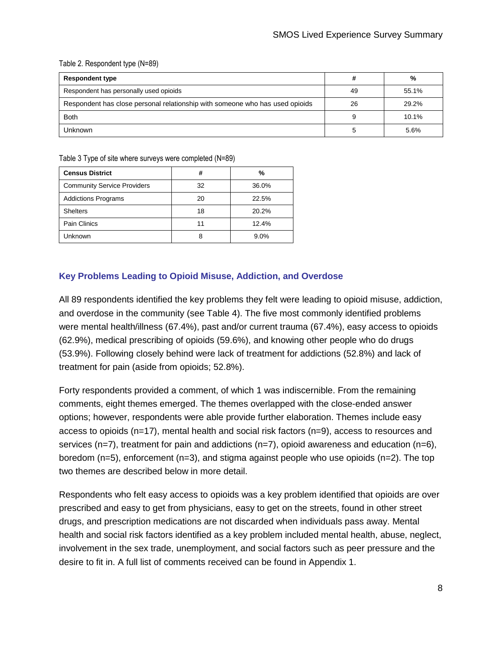#### <span id="page-7-1"></span>Table 2. Respondent type (N=89)

| <b>Respondent type</b>                                                       | #  | %     |
|------------------------------------------------------------------------------|----|-------|
| Respondent has personally used opioids                                       | 49 | 55.1% |
| Respondent has close personal relationship with someone who has used opioids | 26 | 29.2% |
| <b>Both</b>                                                                  | 9  | 10.1% |
| Unknown                                                                      |    | 5.6%  |

<span id="page-7-2"></span>Table 3 Type of site where surveys were completed (N=89)

| <b>Census District</b>             | #  | %     |
|------------------------------------|----|-------|
| <b>Community Service Providers</b> | 32 | 36.0% |
| <b>Addictions Programs</b>         | 20 | 22.5% |
| <b>Shelters</b>                    | 18 | 20.2% |
| Pain Clinics                       | 11 | 12.4% |
| Unknown                            | 8  | 9.0%  |

## <span id="page-7-0"></span>**Key Problems Leading to Opioid Misuse, Addiction, and Overdose**

All 89 respondents identified the key problems they felt were leading to opioid misuse, addiction, and overdose in the community (see [Table 4\)](#page-8-1). The five most commonly identified problems were mental health/illness (67.4%), past and/or current trauma (67.4%), easy access to opioids (62.9%), medical prescribing of opioids (59.6%), and knowing other people who do drugs (53.9%). Following closely behind were lack of treatment for addictions (52.8%) and lack of treatment for pain (aside from opioids; 52.8%).

Forty respondents provided a comment, of which 1 was indiscernible. From the remaining comments, eight themes emerged. The themes overlapped with the close-ended answer options; however, respondents were able provide further elaboration. Themes include easy access to opioids (n=17), mental health and social risk factors (n=9), access to resources and services (n=7), treatment for pain and addictions (n=7), opioid awareness and education (n=6), boredom  $(n=5)$ , enforcement  $(n=3)$ , and stigma against people who use opioids  $(n=2)$ . The top two themes are described below in more detail.

Respondents who felt easy access to opioids was a key problem identified that opioids are over prescribed and easy to get from physicians, easy to get on the streets, found in other street drugs, and prescription medications are not discarded when individuals pass away. Mental health and social risk factors identified as a key problem included mental health, abuse, neglect, involvement in the sex trade, unemployment, and social factors such as peer pressure and the desire to fit in. A full list of comments received can be found in Appendix 1.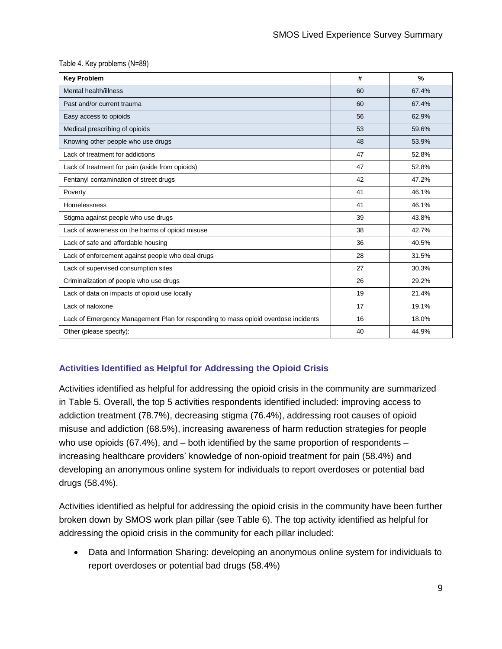#### <span id="page-8-1"></span>Table 4. Key problems (N=89)

| <b>Key Problem</b>                                                                 | #  | $\frac{9}{6}$ |
|------------------------------------------------------------------------------------|----|---------------|
| Mental health/illness                                                              | 60 | 67.4%         |
| Past and/or current trauma                                                         | 60 | 67.4%         |
| Easy access to opioids                                                             | 56 | 62.9%         |
| Medical prescribing of opioids                                                     | 53 | 59.6%         |
| Knowing other people who use drugs                                                 | 48 | 53.9%         |
| Lack of treatment for addictions                                                   | 47 | 52.8%         |
| Lack of treatment for pain (aside from opioids)                                    | 47 | 52.8%         |
| Fentanyl contamination of street drugs                                             | 42 | 47.2%         |
| Poverty                                                                            | 41 | 46.1%         |
| Homelessness                                                                       | 41 | 46.1%         |
| Stigma against people who use drugs                                                | 39 | 43.8%         |
| Lack of awareness on the harms of opioid misuse                                    | 38 | 42.7%         |
| Lack of safe and affordable housing                                                | 36 | 40.5%         |
| Lack of enforcement against people who deal drugs                                  | 28 | 31.5%         |
| Lack of supervised consumption sites                                               | 27 | 30.3%         |
| Criminalization of people who use drugs                                            | 26 | 29.2%         |
| Lack of data on impacts of opioid use locally                                      | 19 | 21.4%         |
| Lack of naloxone                                                                   | 17 | 19.1%         |
| Lack of Emergency Management Plan for responding to mass opioid overdose incidents | 16 | 18.0%         |
| Other (please specify):                                                            | 40 | 44.9%         |

# <span id="page-8-0"></span>**Activities Identified as Helpful for Addressing the Opioid Crisis**

Activities identified as helpful for addressing the opioid crisis in the community are summarized in [Table 5.](#page-10-0) Overall, the top 5 activities respondents identified included: improving access to addiction treatment (78.7%), decreasing stigma (76.4%), addressing root causes of opioid misuse and addiction (68.5%), increasing awareness of harm reduction strategies for people who use opioids (67.4%), and – both identified by the same proportion of respondents – increasing healthcare providers' knowledge of non-opioid treatment for pain (58.4%) and developing an anonymous online system for individuals to report overdoses or potential bad drugs (58.4%).

Activities identified as helpful for addressing the opioid crisis in the community have been further broken down by SMOS work plan pillar (see [Table 6\)](#page-11-0). The top activity identified as helpful for addressing the opioid crisis in the community for each pillar included:

 Data and Information Sharing: developing an anonymous online system for individuals to report overdoses or potential bad drugs (58.4%)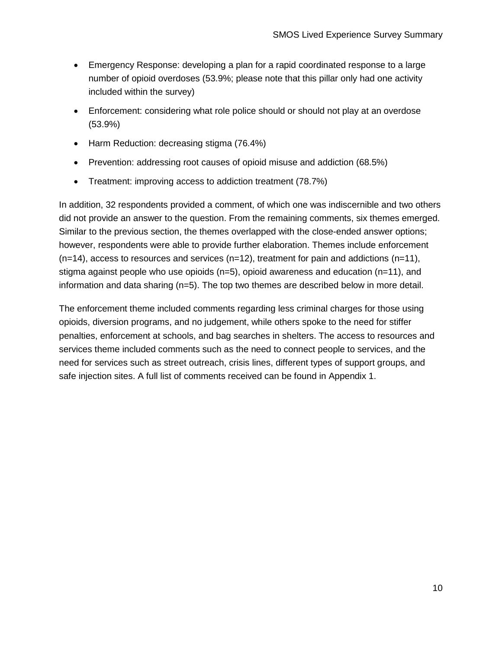- Emergency Response: developing a plan for a rapid coordinated response to a large number of opioid overdoses (53.9%; please note that this pillar only had one activity included within the survey)
- Enforcement: considering what role police should or should not play at an overdose (53.9%)
- Harm Reduction: decreasing stigma (76.4%)
- Prevention: addressing root causes of opioid misuse and addiction (68.5%)
- Treatment: improving access to addiction treatment (78.7%)

In addition, 32 respondents provided a comment, of which one was indiscernible and two others did not provide an answer to the question. From the remaining comments, six themes emerged. Similar to the previous section, the themes overlapped with the close-ended answer options; however, respondents were able to provide further elaboration. Themes include enforcement  $(n=14)$ , access to resources and services  $(n=12)$ , treatment for pain and addictions  $(n=11)$ , stigma against people who use opioids (n=5), opioid awareness and education (n=11), and information and data sharing (n=5). The top two themes are described below in more detail.

The enforcement theme included comments regarding less criminal charges for those using opioids, diversion programs, and no judgement, while others spoke to the need for stiffer penalties, enforcement at schools, and bag searches in shelters. The access to resources and services theme included comments such as the need to connect people to services, and the need for services such as street outreach, crisis lines, different types of support groups, and safe injection sites. A full list of comments received can be found in Appendix 1.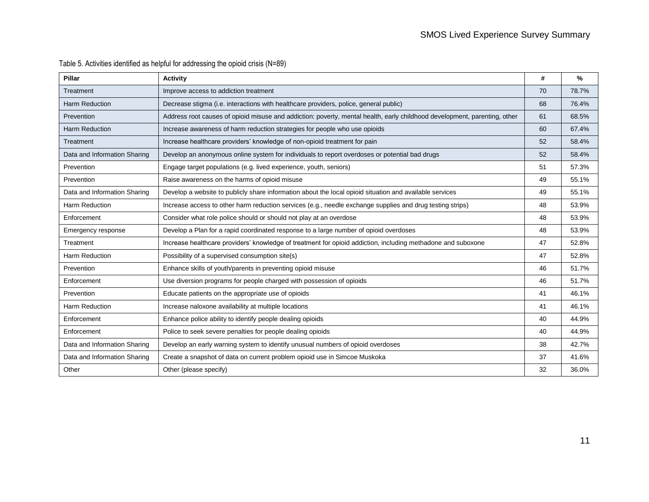<span id="page-10-0"></span>

| Pillar                       | <b>Activity</b>                                                                                                           | #  | $\%$  |
|------------------------------|---------------------------------------------------------------------------------------------------------------------------|----|-------|
| Treatment                    | Improve access to addiction treatment                                                                                     | 70 | 78.7% |
| Harm Reduction               | Decrease stigma (i.e. interactions with healthcare providers, police, general public)                                     | 68 | 76.4% |
| Prevention                   | Address root causes of opioid misuse and addiction: poverty, mental health, early childhood development, parenting, other | 61 | 68.5% |
| <b>Harm Reduction</b>        | Increase awareness of harm reduction strategies for people who use opioids                                                | 60 | 67.4% |
| Treatment                    | Increase healthcare providers' knowledge of non-opioid treatment for pain                                                 | 52 | 58.4% |
| Data and Information Sharing | Develop an anonymous online system for individuals to report overdoses or potential bad drugs                             | 52 | 58.4% |
| Prevention                   | Engage target populations (e.g. lived experience, youth, seniors)                                                         | 51 | 57.3% |
| Prevention                   | Raise awareness on the harms of opioid misuse                                                                             | 49 | 55.1% |
| Data and Information Sharing | Develop a website to publicly share information about the local opioid situation and available services                   | 49 | 55.1% |
| Harm Reduction               | Increase access to other harm reduction services (e.g., needle exchange supplies and drug testing strips)                 | 48 | 53.9% |
| Enforcement                  | Consider what role police should or should not play at an overdose                                                        | 48 | 53.9% |
| Emergency response           | Develop a Plan for a rapid coordinated response to a large number of opioid overdoses                                     | 48 | 53.9% |
| Treatment                    | Increase healthcare providers' knowledge of treatment for opioid addiction, including methadone and suboxone              | 47 | 52.8% |
| Harm Reduction               | Possibility of a supervised consumption site(s)                                                                           | 47 | 52.8% |
| Prevention                   | Enhance skills of youth/parents in preventing opioid misuse                                                               | 46 | 51.7% |
| Enforcement                  | Use diversion programs for people charged with possession of opioids                                                      | 46 | 51.7% |
| Prevention                   | Educate patients on the appropriate use of opioids                                                                        | 41 | 46.1% |
| Harm Reduction               | Increase naloxone availability at multiple locations                                                                      | 41 | 46.1% |
| Enforcement                  | Enhance police ability to identify people dealing opioids                                                                 | 40 | 44.9% |
| Enforcement                  | Police to seek severe penalties for people dealing opioids                                                                | 40 | 44.9% |
| Data and Information Sharing | Develop an early warning system to identify unusual numbers of opioid overdoses                                           | 38 | 42.7% |
| Data and Information Sharing | Create a snapshot of data on current problem opioid use in Simcoe Muskoka                                                 | 37 | 41.6% |
| Other                        | Other (please specify)                                                                                                    | 32 | 36.0% |

# Table 5. Activities identified as helpful for addressing the opioid crisis (N=89)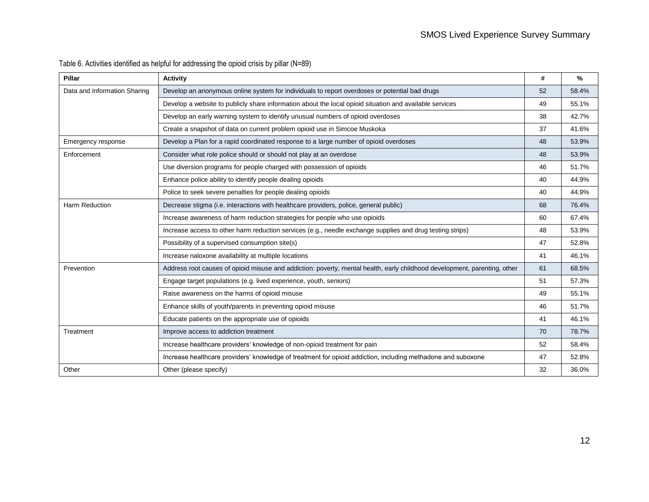<span id="page-11-0"></span>

| Pillar                       | <b>Activity</b>                                                                                                                                                                                          | #  | %     |
|------------------------------|----------------------------------------------------------------------------------------------------------------------------------------------------------------------------------------------------------|----|-------|
| Data and Information Sharing | Develop an anonymous online system for individuals to report overdoses or potential bad drugs<br>Develop a website to publicly share information about the local opioid situation and available services |    | 58.4% |
|                              |                                                                                                                                                                                                          |    | 55.1% |
|                              | Develop an early warning system to identify unusual numbers of opioid overdoses                                                                                                                          | 38 | 42.7% |
|                              | Create a snapshot of data on current problem opioid use in Simcoe Muskoka                                                                                                                                | 37 | 41.6% |
| Emergency response           | Develop a Plan for a rapid coordinated response to a large number of opioid overdoses                                                                                                                    | 48 | 53.9% |
| Enforcement                  | Consider what role police should or should not play at an overdose                                                                                                                                       | 48 | 53.9% |
|                              | Use diversion programs for people charged with possession of opioids                                                                                                                                     | 46 | 51.7% |
|                              | Enhance police ability to identify people dealing opioids                                                                                                                                                | 40 | 44.9% |
|                              | Police to seek severe penalties for people dealing opioids                                                                                                                                               | 40 | 44.9% |
| <b>Harm Reduction</b>        | Decrease stigma (i.e. interactions with healthcare providers, police, general public)                                                                                                                    | 68 | 76.4% |
|                              | Increase awareness of harm reduction strategies for people who use opioids                                                                                                                               | 60 | 67.4% |
|                              | Increase access to other harm reduction services (e.g., needle exchange supplies and drug testing strips)                                                                                                | 48 | 53.9% |
|                              | Possibility of a supervised consumption site(s)                                                                                                                                                          | 47 | 52.8% |
|                              | Increase naloxone availability at multiple locations                                                                                                                                                     | 41 | 46.1% |
| Prevention                   | Address root causes of opioid misuse and addiction: poverty, mental health, early childhood development, parenting, other                                                                                | 61 | 68.5% |
|                              | Engage target populations (e.g. lived experience, youth, seniors)                                                                                                                                        | 51 | 57.3% |
|                              | Raise awareness on the harms of opioid misuse                                                                                                                                                            | 49 | 55.1% |
|                              | Enhance skills of youth/parents in preventing opioid misuse                                                                                                                                              | 46 | 51.7% |
|                              | Educate patients on the appropriate use of opioids                                                                                                                                                       | 41 | 46.1% |
| Treatment                    | Improve access to addiction treatment                                                                                                                                                                    | 70 | 78.7% |
|                              | Increase healthcare providers' knowledge of non-opioid treatment for pain                                                                                                                                | 52 | 58.4% |
|                              | Increase healthcare providers' knowledge of treatment for opioid addiction, including methadone and suboxone                                                                                             | 47 | 52.8% |
| Other                        | Other (please specify)                                                                                                                                                                                   | 32 | 36.0% |

# Table 6. Activities identified as helpful for addressing the opioid crisis by pillar (N=89)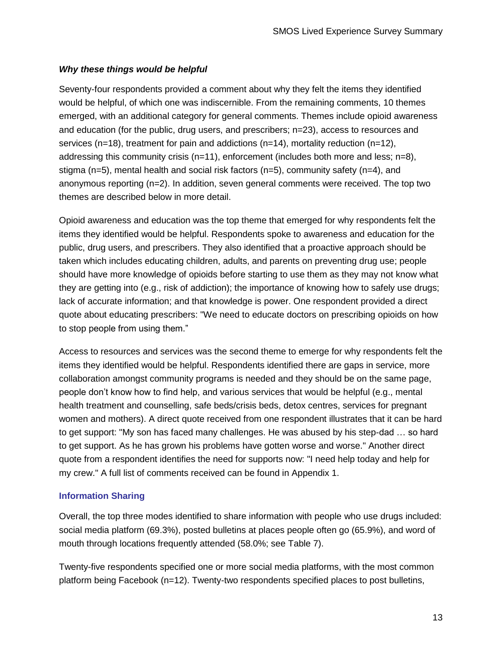# *Why these things would be helpful*

Seventy-four respondents provided a comment about why they felt the items they identified would be helpful, of which one was indiscernible. From the remaining comments, 10 themes emerged, with an additional category for general comments. Themes include opioid awareness and education (for the public, drug users, and prescribers; n=23), access to resources and services ( $n=18$ ), treatment for pain and addictions ( $n=14$ ), mortality reduction ( $n=12$ ), addressing this community crisis ( $n=11$ ), enforcement (includes both more and less;  $n=8$ ), stigma ( $n=5$ ), mental health and social risk factors ( $n=5$ ), community safety ( $n=4$ ), and anonymous reporting (n=2). In addition, seven general comments were received. The top two themes are described below in more detail.

Opioid awareness and education was the top theme that emerged for why respondents felt the items they identified would be helpful. Respondents spoke to awareness and education for the public, drug users, and prescribers. They also identified that a proactive approach should be taken which includes educating children, adults, and parents on preventing drug use; people should have more knowledge of opioids before starting to use them as they may not know what they are getting into (e.g., risk of addiction); the importance of knowing how to safely use drugs; lack of accurate information; and that knowledge is power. One respondent provided a direct quote about educating prescribers: "We need to educate doctors on prescribing opioids on how to stop people from using them."

Access to resources and services was the second theme to emerge for why respondents felt the items they identified would be helpful. Respondents identified there are gaps in service, more collaboration amongst community programs is needed and they should be on the same page, people don't know how to find help, and various services that would be helpful (e.g., mental health treatment and counselling, safe beds/crisis beds, detox centres, services for pregnant women and mothers). A direct quote received from one respondent illustrates that it can be hard to get support: "My son has faced many challenges. He was abused by his step-dad … so hard to get support. As he has grown his problems have gotten worse and worse." Another direct quote from a respondent identifies the need for supports now: "I need help today and help for my crew." A full list of comments received can be found in Appendix 1.

## <span id="page-12-0"></span>**Information Sharing**

Overall, the top three modes identified to share information with people who use drugs included: social media platform (69.3%), posted bulletins at places people often go (65.9%), and word of mouth through locations frequently attended (58.0%; see [Table 7\)](#page-13-1).

Twenty-five respondents specified one or more social media platforms, with the most common platform being Facebook (n=12). Twenty-two respondents specified places to post bulletins,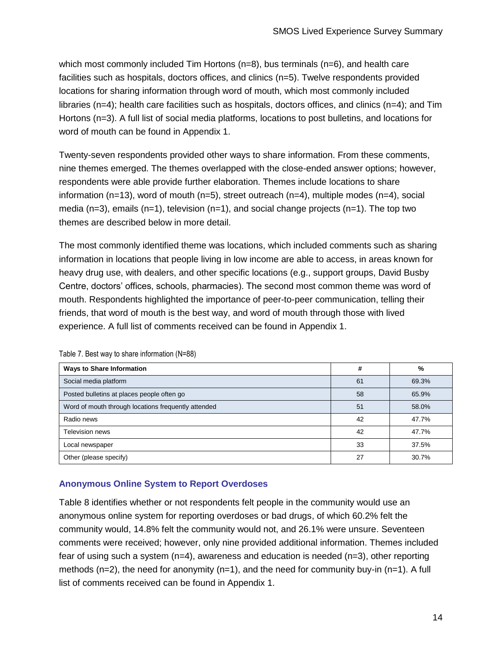which most commonly included Tim Hortons  $(n=8)$ , bus terminals  $(n=6)$ , and health care facilities such as hospitals, doctors offices, and clinics (n=5). Twelve respondents provided locations for sharing information through word of mouth, which most commonly included libraries (n=4); health care facilities such as hospitals, doctors offices, and clinics (n=4); and Tim Hortons (n=3). A full list of social media platforms, locations to post bulletins, and locations for word of mouth can be found in Appendix 1.

Twenty-seven respondents provided other ways to share information. From these comments, nine themes emerged. The themes overlapped with the close-ended answer options; however, respondents were able provide further elaboration. Themes include locations to share information (n=13), word of mouth (n=5), street outreach (n=4), multiple modes (n=4), social media ( $n=3$ ), emails ( $n=1$ ), television ( $n=1$ ), and social change projects ( $n=1$ ). The top two themes are described below in more detail.

The most commonly identified theme was locations, which included comments such as sharing information in locations that people living in low income are able to access, in areas known for heavy drug use, with dealers, and other specific locations (e.g., support groups, David Busby Centre, doctors' offices, schools, pharmacies). The second most common theme was word of mouth. Respondents highlighted the importance of peer-to-peer communication, telling their friends, that word of mouth is the best way, and word of mouth through those with lived experience. A full list of comments received can be found in Appendix 1.

| <b>Ways to Share Information</b>                    | #  | %     |
|-----------------------------------------------------|----|-------|
| Social media platform                               | 61 | 69.3% |
| Posted bulletins at places people often go          | 58 | 65.9% |
| Word of mouth through locations frequently attended | 51 | 58.0% |
| Radio news                                          | 42 | 47.7% |
| Television news                                     | 42 | 47.7% |
| Local newspaper                                     | 33 | 37.5% |
| Other (please specify)                              | 27 | 30.7% |

<span id="page-13-1"></span>Table 7. Best way to share information (N=88)

# <span id="page-13-0"></span>**Anonymous Online System to Report Overdoses**

[Table 8](#page-14-2) identifies whether or not respondents felt people in the community would use an anonymous online system for reporting overdoses or bad drugs, of which 60.2% felt the community would, 14.8% felt the community would not, and 26.1% were unsure. Seventeen comments were received; however, only nine provided additional information. Themes included fear of using such a system  $(n=4)$ , awareness and education is needed  $(n=3)$ , other reporting methods  $(n=2)$ , the need for anonymity  $(n=1)$ , and the need for community buy-in  $(n=1)$ . A full list of comments received can be found in Appendix 1.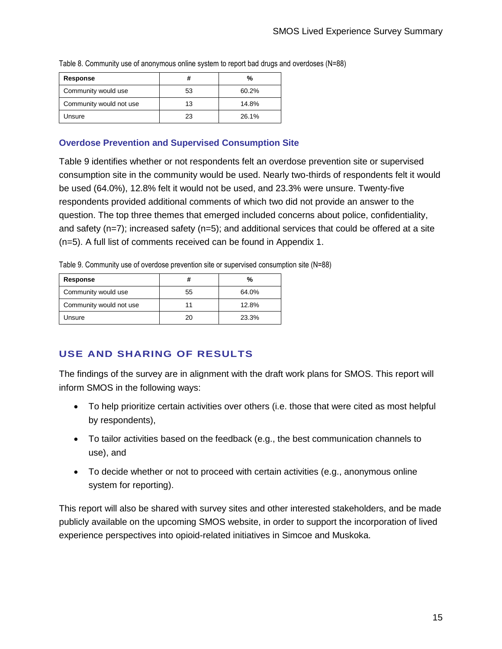| <b>Response</b>         | #  | %     |
|-------------------------|----|-------|
| Community would use     | 53 | 60.2% |
| Community would not use | 13 | 14.8% |
| Unsure                  | 23 | 26.1% |

<span id="page-14-2"></span>Table 8. Community use of anonymous online system to report bad drugs and overdoses (N=88)

# <span id="page-14-0"></span>**Overdose Prevention and Supervised Consumption Site**

[Table 9](#page-14-3) identifies whether or not respondents felt an overdose prevention site or supervised consumption site in the community would be used. Nearly two-thirds of respondents felt it would be used (64.0%), 12.8% felt it would not be used, and 23.3% were unsure. Twenty-five respondents provided additional comments of which two did not provide an answer to the question. The top three themes that emerged included concerns about police, confidentiality, and safety ( $n=7$ ); increased safety ( $n=5$ ); and additional services that could be offered at a site (n=5). A full list of comments received can be found in Appendix 1.

<span id="page-14-3"></span>Table 9. Community use of overdose prevention site or supervised consumption site (N=88)

| Response                | #  | %     |
|-------------------------|----|-------|
| Community would use     | 55 | 64.0% |
| Community would not use | 11 | 12.8% |
| Unsure                  | 20 | 23.3% |

# <span id="page-14-1"></span>**USE AND SHARING OF RESULTS**

The findings of the survey are in alignment with the draft work plans for SMOS. This report will inform SMOS in the following ways:

- To help prioritize certain activities over others (i.e. those that were cited as most helpful by respondents),
- To tailor activities based on the feedback (e.g., the best communication channels to use), and
- To decide whether or not to proceed with certain activities (e.g., anonymous online system for reporting).

This report will also be shared with survey sites and other interested stakeholders, and be made publicly available on the upcoming SMOS website, in order to support the incorporation of lived experience perspectives into opioid-related initiatives in Simcoe and Muskoka.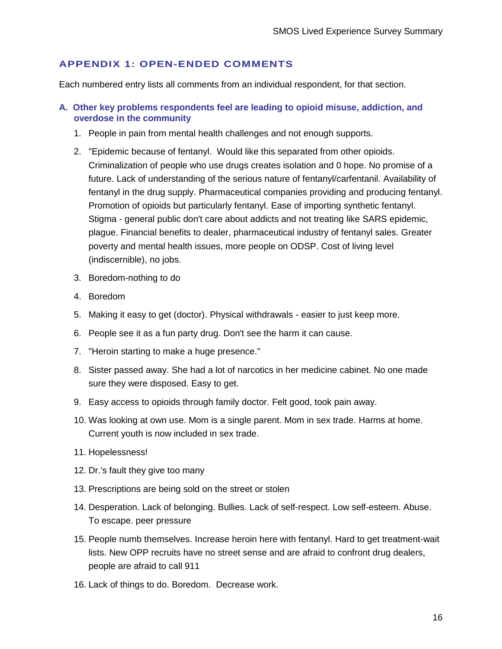# <span id="page-15-0"></span>**APPENDIX 1: OPEN-ENDED COMMENTS**

Each numbered entry lists all comments from an individual respondent, for that section.

- <span id="page-15-1"></span>**A. Other key problems respondents feel are leading to opioid misuse, addiction, and overdose in the community**
	- 1. People in pain from mental health challenges and not enough supports.
	- 2. "Epidemic because of fentanyl. Would like this separated from other opioids. Criminalization of people who use drugs creates isolation and 0 hope. No promise of a future. Lack of understanding of the serious nature of fentanyl/carfentanil. Availability of fentanyl in the drug supply. Pharmaceutical companies providing and producing fentanyl. Promotion of opioids but particularly fentanyl. Ease of importing synthetic fentanyl. Stigma - general public don't care about addicts and not treating like SARS epidemic, plague. Financial benefits to dealer, pharmaceutical industry of fentanyl sales. Greater poverty and mental health issues, more people on ODSP. Cost of living level (indiscernible), no jobs.
	- 3. Boredom-nothing to do
	- 4. Boredom
	- 5. Making it easy to get (doctor). Physical withdrawals easier to just keep more.
	- 6. People see it as a fun party drug. Don't see the harm it can cause.
	- 7. "Heroin starting to make a huge presence."
	- 8. Sister passed away. She had a lot of narcotics in her medicine cabinet. No one made sure they were disposed. Easy to get.
	- 9. Easy access to opioids through family doctor. Felt good, took pain away.
	- 10. Was looking at own use. Mom is a single parent. Mom in sex trade. Harms at home. Current youth is now included in sex trade.
	- 11. Hopelessness!
	- 12. Dr.'s fault they give too many
	- 13. Prescriptions are being sold on the street or stolen
	- 14. Desperation. Lack of belonging. Bullies. Lack of self-respect. Low self-esteem. Abuse. To escape. peer pressure
	- 15. People numb themselves. Increase heroin here with fentanyl. Hard to get treatment-wait lists. New OPP recruits have no street sense and are afraid to confront drug dealers, people are afraid to call 911
	- 16. Lack of things to do. Boredom. Decrease work.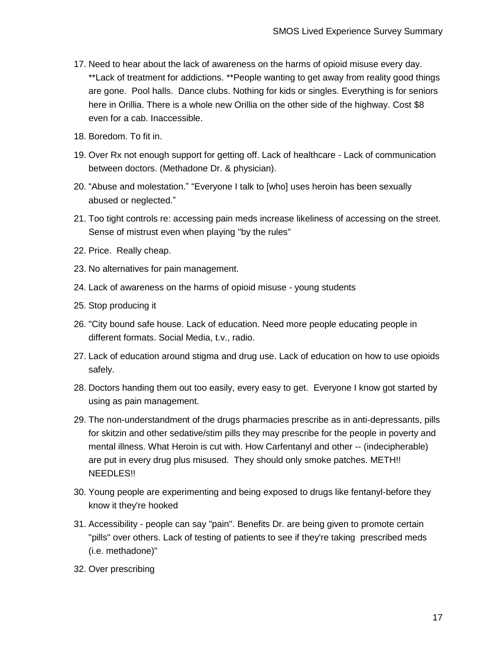- 17. Need to hear about the lack of awareness on the harms of opioid misuse every day. \*\*Lack of treatment for addictions. \*\*People wanting to get away from reality good things are gone. Pool halls. Dance clubs. Nothing for kids or singles. Everything is for seniors here in Orillia. There is a whole new Orillia on the other side of the highway. Cost \$8 even for a cab. Inaccessible.
- 18. Boredom. To fit in.
- 19. Over Rx not enough support for getting off. Lack of healthcare Lack of communication between doctors. (Methadone Dr. & physician).
- 20. "Abuse and molestation." "Everyone I talk to [who] uses heroin has been sexually abused or neglected."
- 21. Too tight controls re: accessing pain meds increase likeliness of accessing on the street. Sense of mistrust even when playing "by the rules"
- 22. Price. Really cheap.
- 23. No alternatives for pain management.
- 24. Lack of awareness on the harms of opioid misuse young students
- 25. Stop producing it
- 26. "City bound safe house. Lack of education. Need more people educating people in different formats. Social Media, t.v., radio.
- 27. Lack of education around stigma and drug use. Lack of education on how to use opioids safely.
- 28. Doctors handing them out too easily, every easy to get. Everyone I know got started by using as pain management.
- 29. The non-understandment of the drugs pharmacies prescribe as in anti-depressants, pills for skitzin and other sedative/stim pills they may prescribe for the people in poverty and mental illness. What Heroin is cut with. How Carfentanyl and other -- (indecipherable) are put in every drug plus misused. They should only smoke patches. METH!! NEEDLES!!
- 30. Young people are experimenting and being exposed to drugs like fentanyl-before they know it they're hooked
- 31. Accessibility people can say "pain". Benefits Dr. are being given to promote certain "pills" over others. Lack of testing of patients to see if they're taking prescribed meds (i.e. methadone)"
- 32. Over prescribing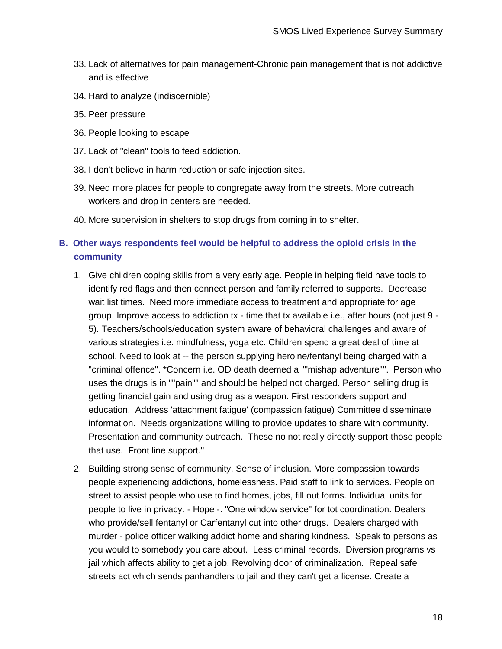- 33. Lack of alternatives for pain management-Chronic pain management that is not addictive and is effective
- 34. Hard to analyze (indiscernible)
- 35. Peer pressure
- 36. People looking to escape
- 37. Lack of "clean" tools to feed addiction.
- 38. I don't believe in harm reduction or safe injection sites.
- 39. Need more places for people to congregate away from the streets. More outreach workers and drop in centers are needed.
- 40. More supervision in shelters to stop drugs from coming in to shelter.

# <span id="page-17-0"></span>**B. Other ways respondents feel would be helpful to address the opioid crisis in the community**

- 1. Give children coping skills from a very early age. People in helping field have tools to identify red flags and then connect person and family referred to supports. Decrease wait list times. Need more immediate access to treatment and appropriate for age group. Improve access to addiction tx - time that tx available i.e., after hours (not just 9 - 5). Teachers/schools/education system aware of behavioral challenges and aware of various strategies i.e. mindfulness, yoga etc. Children spend a great deal of time at school. Need to look at -- the person supplying heroine/fentanyl being charged with a "criminal offence". \*Concern i.e. OD death deemed a ""mishap adventure"". Person who uses the drugs is in ""pain"" and should be helped not charged. Person selling drug is getting financial gain and using drug as a weapon. First responders support and education. Address 'attachment fatigue' (compassion fatigue) Committee disseminate information. Needs organizations willing to provide updates to share with community. Presentation and community outreach. These no not really directly support those people that use. Front line support."
- 2. Building strong sense of community. Sense of inclusion. More compassion towards people experiencing addictions, homelessness. Paid staff to link to services. People on street to assist people who use to find homes, jobs, fill out forms. Individual units for people to live in privacy. - Hope -. "One window service" for tot coordination. Dealers who provide/sell fentanyl or Carfentanyl cut into other drugs. Dealers charged with murder - police officer walking addict home and sharing kindness. Speak to persons as you would to somebody you care about. Less criminal records. Diversion programs vs jail which affects ability to get a job. Revolving door of criminalization. Repeal safe streets act which sends panhandlers to jail and they can't get a license. Create a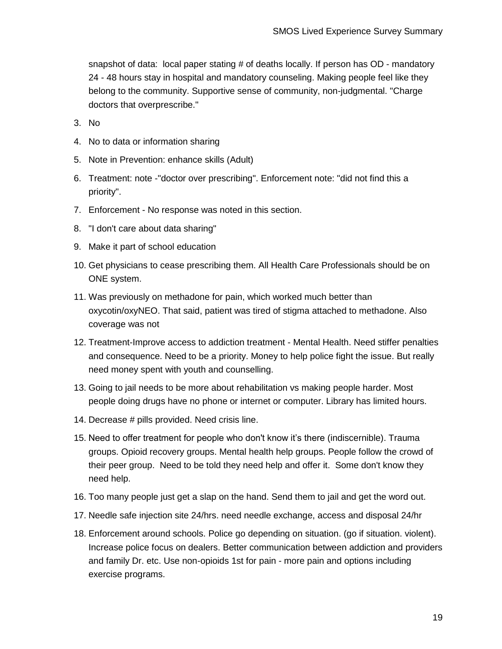snapshot of data: local paper stating # of deaths locally. If person has OD - mandatory 24 - 48 hours stay in hospital and mandatory counseling. Making people feel like they belong to the community. Supportive sense of community, non-judgmental. "Charge doctors that overprescribe."

- 3. No
- 4. No to data or information sharing
- 5. Note in Prevention: enhance skills (Adult)
- 6. Treatment: note -"doctor over prescribing". Enforcement note: "did not find this a priority".
- 7. Enforcement No response was noted in this section.
- 8. "I don't care about data sharing"
- 9. Make it part of school education
- 10. Get physicians to cease prescribing them. All Health Care Professionals should be on ONE system.
- 11. Was previously on methadone for pain, which worked much better than oxycotin/oxyNEO. That said, patient was tired of stigma attached to methadone. Also coverage was not
- 12. Treatment-Improve access to addiction treatment Mental Health. Need stiffer penalties and consequence. Need to be a priority. Money to help police fight the issue. But really need money spent with youth and counselling.
- 13. Going to jail needs to be more about rehabilitation vs making people harder. Most people doing drugs have no phone or internet or computer. Library has limited hours.
- 14. Decrease # pills provided. Need crisis line.
- 15. Need to offer treatment for people who don't know it's there (indiscernible). Trauma groups. Opioid recovery groups. Mental health help groups. People follow the crowd of their peer group. Need to be told they need help and offer it. Some don't know they need help.
- 16. Too many people just get a slap on the hand. Send them to jail and get the word out.
- 17. Needle safe injection site 24/hrs. need needle exchange, access and disposal 24/hr
- 18. Enforcement around schools. Police go depending on situation. (go if situation. violent). Increase police focus on dealers. Better communication between addiction and providers and family Dr. etc. Use non-opioids 1st for pain - more pain and options including exercise programs.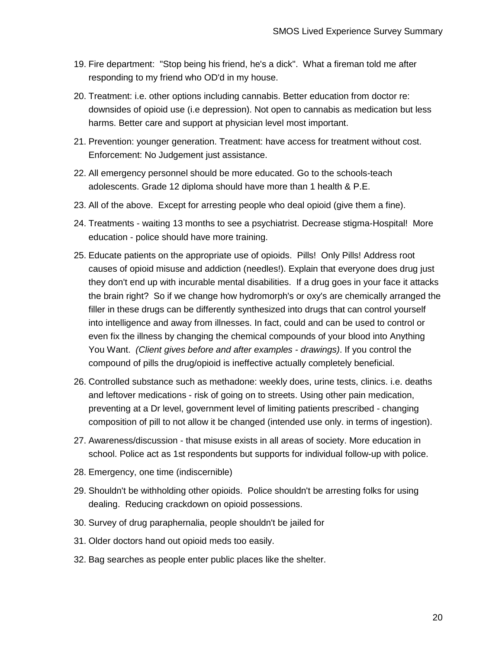- 19. Fire department: "Stop being his friend, he's a dick". What a fireman told me after responding to my friend who OD'd in my house.
- 20. Treatment: i.e. other options including cannabis. Better education from doctor re: downsides of opioid use (i.e depression). Not open to cannabis as medication but less harms. Better care and support at physician level most important.
- 21. Prevention: younger generation. Treatment: have access for treatment without cost. Enforcement: No Judgement just assistance.
- 22. All emergency personnel should be more educated. Go to the schools-teach adolescents. Grade 12 diploma should have more than 1 health & P.E.
- 23. All of the above. Except for arresting people who deal opioid (give them a fine).
- 24. Treatments waiting 13 months to see a psychiatrist. Decrease stigma-Hospital! More education - police should have more training.
- 25. Educate patients on the appropriate use of opioids. Pills! Only Pills! Address root causes of opioid misuse and addiction (needles!). Explain that everyone does drug just they don't end up with incurable mental disabilities. If a drug goes in your face it attacks the brain right? So if we change how hydromorph's or oxy's are chemically arranged the filler in these drugs can be differently synthesized into drugs that can control yourself into intelligence and away from illnesses. In fact, could and can be used to control or even fix the illness by changing the chemical compounds of your blood into Anything You Want. *(Client gives before and after examples - drawings)*. If you control the compound of pills the drug/opioid is ineffective actually completely beneficial.
- 26. Controlled substance such as methadone: weekly does, urine tests, clinics. i.e. deaths and leftover medications - risk of going on to streets. Using other pain medication, preventing at a Dr level, government level of limiting patients prescribed - changing composition of pill to not allow it be changed (intended use only. in terms of ingestion).
- 27. Awareness/discussion that misuse exists in all areas of society. More education in school. Police act as 1st respondents but supports for individual follow-up with police.
- 28. Emergency, one time (indiscernible)
- 29. Shouldn't be withholding other opioids. Police shouldn't be arresting folks for using dealing. Reducing crackdown on opioid possessions.
- 30. Survey of drug paraphernalia, people shouldn't be jailed for
- 31. Older doctors hand out opioid meds too easily.
- 32. Bag searches as people enter public places like the shelter.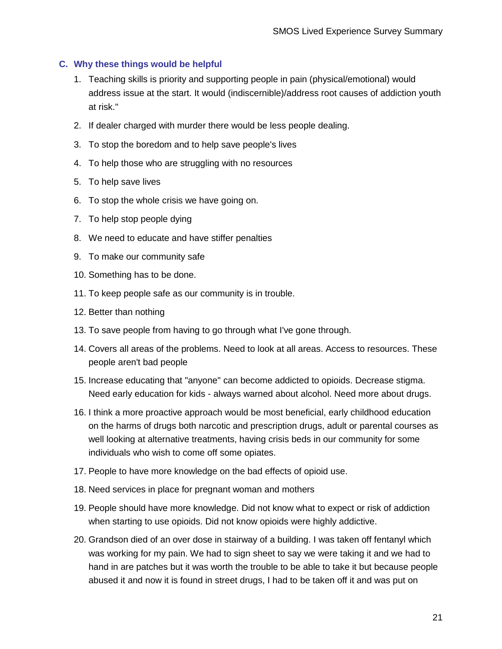## <span id="page-20-0"></span>**C. Why these things would be helpful**

- 1. Teaching skills is priority and supporting people in pain (physical/emotional) would address issue at the start. It would (indiscernible)/address root causes of addiction youth at risk."
- 2. If dealer charged with murder there would be less people dealing.
- 3. To stop the boredom and to help save people's lives
- 4. To help those who are struggling with no resources
- 5. To help save lives
- 6. To stop the whole crisis we have going on.
- 7. To help stop people dying
- 8. We need to educate and have stiffer penalties
- 9. To make our community safe
- 10. Something has to be done.
- 11. To keep people safe as our community is in trouble.
- 12. Better than nothing
- 13. To save people from having to go through what I've gone through.
- 14. Covers all areas of the problems. Need to look at all areas. Access to resources. These people aren't bad people
- 15. Increase educating that "anyone" can become addicted to opioids. Decrease stigma. Need early education for kids - always warned about alcohol. Need more about drugs.
- 16. I think a more proactive approach would be most beneficial, early childhood education on the harms of drugs both narcotic and prescription drugs, adult or parental courses as well looking at alternative treatments, having crisis beds in our community for some individuals who wish to come off some opiates.
- 17. People to have more knowledge on the bad effects of opioid use.
- 18. Need services in place for pregnant woman and mothers
- 19. People should have more knowledge. Did not know what to expect or risk of addiction when starting to use opioids. Did not know opioids were highly addictive.
- 20. Grandson died of an over dose in stairway of a building. I was taken off fentanyl which was working for my pain. We had to sign sheet to say we were taking it and we had to hand in are patches but it was worth the trouble to be able to take it but because people abused it and now it is found in street drugs, I had to be taken off it and was put on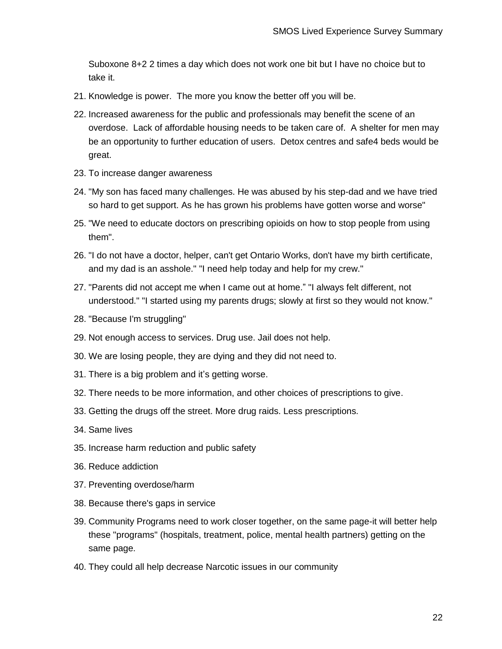Suboxone 8+2 2 times a day which does not work one bit but I have no choice but to take it.

- 21. Knowledge is power. The more you know the better off you will be.
- 22. Increased awareness for the public and professionals may benefit the scene of an overdose. Lack of affordable housing needs to be taken care of. A shelter for men may be an opportunity to further education of users. Detox centres and safe4 beds would be great.
- 23. To increase danger awareness
- 24. "My son has faced many challenges. He was abused by his step-dad and we have tried so hard to get support. As he has grown his problems have gotten worse and worse"
- 25. "We need to educate doctors on prescribing opioids on how to stop people from using them".
- 26. "I do not have a doctor, helper, can't get Ontario Works, don't have my birth certificate, and my dad is an asshole." "I need help today and help for my crew."
- 27. "Parents did not accept me when I came out at home." "I always felt different, not understood." "I started using my parents drugs; slowly at first so they would not know."
- 28. "Because I'm struggling"
- 29. Not enough access to services. Drug use. Jail does not help.
- 30. We are losing people, they are dying and they did not need to.
- 31. There is a big problem and it's getting worse.
- 32. There needs to be more information, and other choices of prescriptions to give.
- 33. Getting the drugs off the street. More drug raids. Less prescriptions.
- 34. Same lives
- 35. Increase harm reduction and public safety
- 36. Reduce addiction
- 37. Preventing overdose/harm
- 38. Because there's gaps in service
- 39. Community Programs need to work closer together, on the same page-it will better help these "programs" (hospitals, treatment, police, mental health partners) getting on the same page.
- 40. They could all help decrease Narcotic issues in our community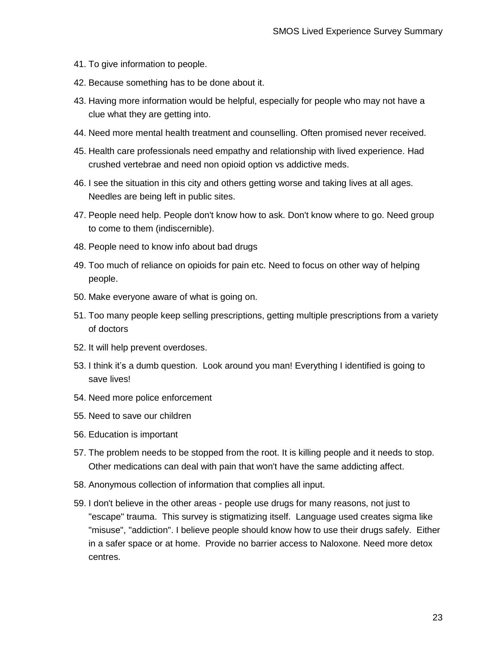- 41. To give information to people.
- 42. Because something has to be done about it.
- 43. Having more information would be helpful, especially for people who may not have a clue what they are getting into.
- 44. Need more mental health treatment and counselling. Often promised never received.
- 45. Health care professionals need empathy and relationship with lived experience. Had crushed vertebrae and need non opioid option vs addictive meds.
- 46. I see the situation in this city and others getting worse and taking lives at all ages. Needles are being left in public sites.
- 47. People need help. People don't know how to ask. Don't know where to go. Need group to come to them (indiscernible).
- 48. People need to know info about bad drugs
- 49. Too much of reliance on opioids for pain etc. Need to focus on other way of helping people.
- 50. Make everyone aware of what is going on.
- 51. Too many people keep selling prescriptions, getting multiple prescriptions from a variety of doctors
- 52. It will help prevent overdoses.
- 53. I think it's a dumb question. Look around you man! Everything I identified is going to save lives!
- 54. Need more police enforcement
- 55. Need to save our children
- 56. Education is important
- 57. The problem needs to be stopped from the root. It is killing people and it needs to stop. Other medications can deal with pain that won't have the same addicting affect.
- 58. Anonymous collection of information that complies all input.
- 59. I don't believe in the other areas people use drugs for many reasons, not just to "escape" trauma. This survey is stigmatizing itself. Language used creates sigma like "misuse", "addiction". I believe people should know how to use their drugs safely. Either in a safer space or at home. Provide no barrier access to Naloxone. Need more detox centres.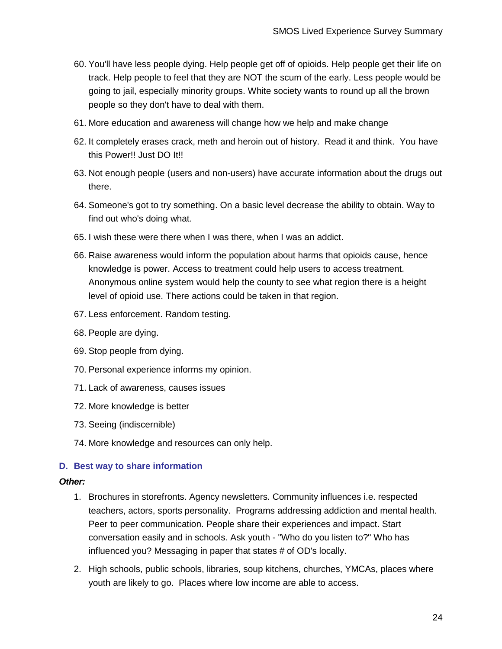- 60. You'll have less people dying. Help people get off of opioids. Help people get their life on track. Help people to feel that they are NOT the scum of the early. Less people would be going to jail, especially minority groups. White society wants to round up all the brown people so they don't have to deal with them.
- 61. More education and awareness will change how we help and make change
- 62. It completely erases crack, meth and heroin out of history. Read it and think. You have this Power!! Just DO It!!
- 63. Not enough people (users and non-users) have accurate information about the drugs out there.
- 64. Someone's got to try something. On a basic level decrease the ability to obtain. Way to find out who's doing what.
- 65. I wish these were there when I was there, when I was an addict.
- 66. Raise awareness would inform the population about harms that opioids cause, hence knowledge is power. Access to treatment could help users to access treatment. Anonymous online system would help the county to see what region there is a height level of opioid use. There actions could be taken in that region.
- 67. Less enforcement. Random testing.
- 68. People are dying.
- 69. Stop people from dying.
- 70. Personal experience informs my opinion.
- 71. Lack of awareness, causes issues
- 72. More knowledge is better
- 73. Seeing (indiscernible)
- 74. More knowledge and resources can only help.

## <span id="page-23-0"></span>**D. Best way to share information**

#### *Other:*

- 1. Brochures in storefronts. Agency newsletters. Community influences i.e. respected teachers, actors, sports personality. Programs addressing addiction and mental health. Peer to peer communication. People share their experiences and impact. Start conversation easily and in schools. Ask youth - "Who do you listen to?" Who has influenced you? Messaging in paper that states # of OD's locally.
- 2. High schools, public schools, libraries, soup kitchens, churches, YMCAs, places where youth are likely to go. Places where low income are able to access.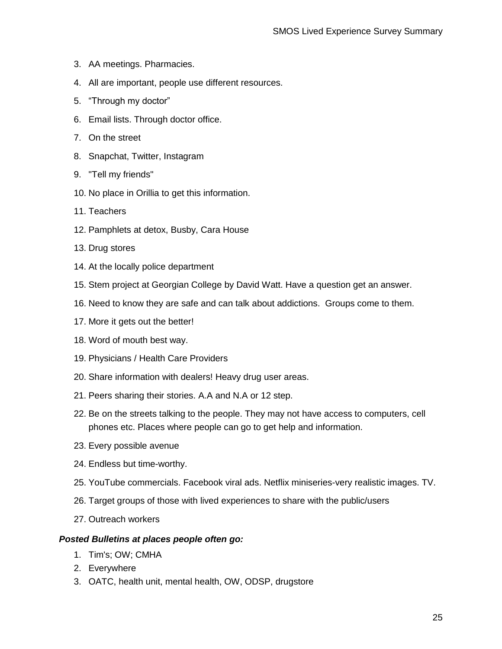- 3. AA meetings. Pharmacies.
- 4. All are important, people use different resources.
- 5. "Through my doctor"
- 6. Email lists. Through doctor office.
- 7. On the street
- 8. Snapchat, Twitter, Instagram
- 9. "Tell my friends"
- 10. No place in Orillia to get this information.
- 11. Teachers
- 12. Pamphlets at detox, Busby, Cara House
- 13. Drug stores
- 14. At the locally police department
- 15. Stem project at Georgian College by David Watt. Have a question get an answer.
- 16. Need to know they are safe and can talk about addictions. Groups come to them.
- 17. More it gets out the better!
- 18. Word of mouth best way.
- 19. Physicians / Health Care Providers
- 20. Share information with dealers! Heavy drug user areas.
- 21. Peers sharing their stories. A.A and N.A or 12 step.
- 22. Be on the streets talking to the people. They may not have access to computers, cell phones etc. Places where people can go to get help and information.
- 23. Every possible avenue
- 24. Endless but time-worthy.
- 25. YouTube commercials. Facebook viral ads. Netflix miniseries-very realistic images. TV.
- 26. Target groups of those with lived experiences to share with the public/users
- 27. Outreach workers

#### *Posted Bulletins at places people often go:*

- 1. Tim's; OW; CMHA
- 2. Everywhere
- 3. OATC, health unit, mental health, OW, ODSP, drugstore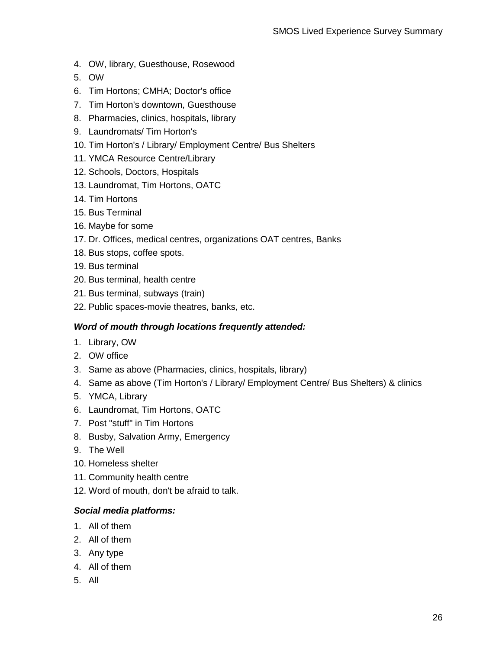- 4. OW, library, Guesthouse, Rosewood
- 5. OW
- 6. Tim Hortons; CMHA; Doctor's office
- 7. Tim Horton's downtown, Guesthouse
- 8. Pharmacies, clinics, hospitals, library
- 9. Laundromats/ Tim Horton's
- 10. Tim Horton's / Library/ Employment Centre/ Bus Shelters
- 11. YMCA Resource Centre/Library
- 12. Schools, Doctors, Hospitals
- 13. Laundromat, Tim Hortons, OATC
- 14. Tim Hortons
- 15. Bus Terminal
- 16. Maybe for some
- 17. Dr. Offices, medical centres, organizations OAT centres, Banks
- 18. Bus stops, coffee spots.
- 19. Bus terminal
- 20. Bus terminal, health centre
- 21. Bus terminal, subways (train)
- 22. Public spaces-movie theatres, banks, etc.

## *Word of mouth through locations frequently attended:*

- 1. Library, OW
- 2. OW office
- 3. Same as above (Pharmacies, clinics, hospitals, library)
- 4. Same as above (Tim Horton's / Library/ Employment Centre/ Bus Shelters) & clinics
- 5. YMCA, Library
- 6. Laundromat, Tim Hortons, OATC
- 7. Post "stuff" in Tim Hortons
- 8. Busby, Salvation Army, Emergency
- 9. The Well
- 10. Homeless shelter
- 11. Community health centre
- 12. Word of mouth, don't be afraid to talk.

## *Social media platforms:*

- 1. All of them
- 2. All of them
- 3. Any type
- 4. All of them
- 5. All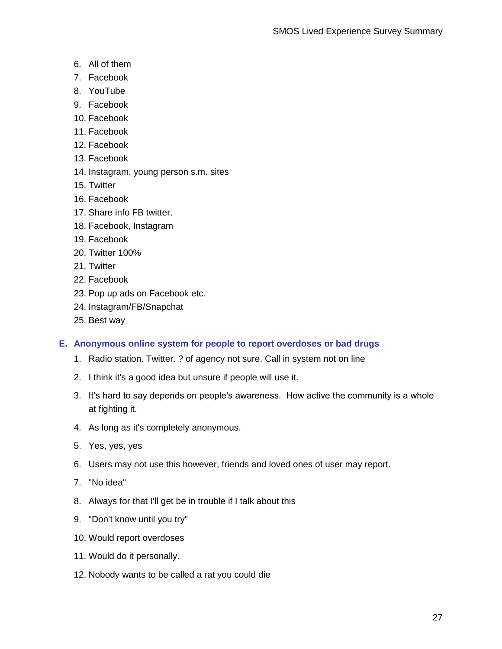- 6. All of them
- 7. Facebook
- 8. YouTube
- 9. Facebook
- 10. Facebook
- 11. Facebook
- 12. Facebook
- 13. Facebook
- 14. Instagram, young person s.m. sites
- 15. Twitter
- 16. Facebook
- 17. Share info FB twitter.
- 18. Facebook, Instagram
- 19. Facebook
- 20. Twitter 100%
- 21. Twitter
- 22. Facebook
- 23. Pop up ads on Facebook etc.
- 24. Instagram/FB/Snapchat
- 25. Best way

# <span id="page-26-0"></span>**E. Anonymous online system for people to report overdoses or bad drugs**

- 1. Radio station. Twitter. ? of agency not sure. Call in system not on line
- 2. I think it's a good idea but unsure if people will use it.
- 3. It's hard to say depends on people's awareness. How active the community is a whole at fighting it.
- 4. As long as it's completely anonymous.
- 5. Yes, yes, yes
- 6. Users may not use this however, friends and loved ones of user may report.
- 7. "No idea"
- 8. Always for that I'll get be in trouble if I talk about this
- 9. "Don't know until you try"
- 10. Would report overdoses
- 11. Would do it personally.
- 12. Nobody wants to be called a rat you could die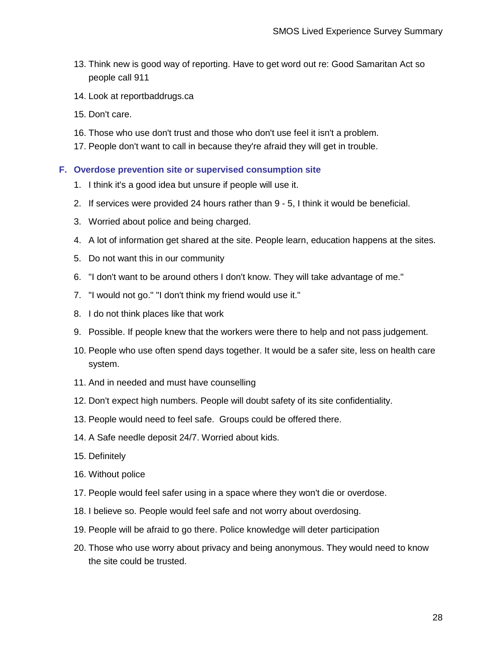- 13. Think new is good way of reporting. Have to get word out re: Good Samaritan Act so people call 911
- 14. Look at reportbaddrugs.ca
- 15. Don't care.
- 16. Those who use don't trust and those who don't use feel it isn't a problem.
- 17. People don't want to call in because they're afraid they will get in trouble.

### <span id="page-27-0"></span>**F. Overdose prevention site or supervised consumption site**

- 1. I think it's a good idea but unsure if people will use it.
- 2. If services were provided 24 hours rather than 9 5, I think it would be beneficial.
- 3. Worried about police and being charged.
- 4. A lot of information get shared at the site. People learn, education happens at the sites.
- 5. Do not want this in our community
- 6. "I don't want to be around others I don't know. They will take advantage of me."
- 7. "I would not go." "I don't think my friend would use it."
- 8. I do not think places like that work
- 9. Possible. If people knew that the workers were there to help and not pass judgement.
- 10. People who use often spend days together. It would be a safer site, less on health care system.
- 11. And in needed and must have counselling
- 12. Don't expect high numbers. People will doubt safety of its site confidentiality.
- 13. People would need to feel safe. Groups could be offered there.
- 14. A Safe needle deposit 24/7. Worried about kids.
- 15. Definitely
- 16. Without police
- 17. People would feel safer using in a space where they won't die or overdose.
- 18. I believe so. People would feel safe and not worry about overdosing.
- 19. People will be afraid to go there. Police knowledge will deter participation
- 20. Those who use worry about privacy and being anonymous. They would need to know the site could be trusted.